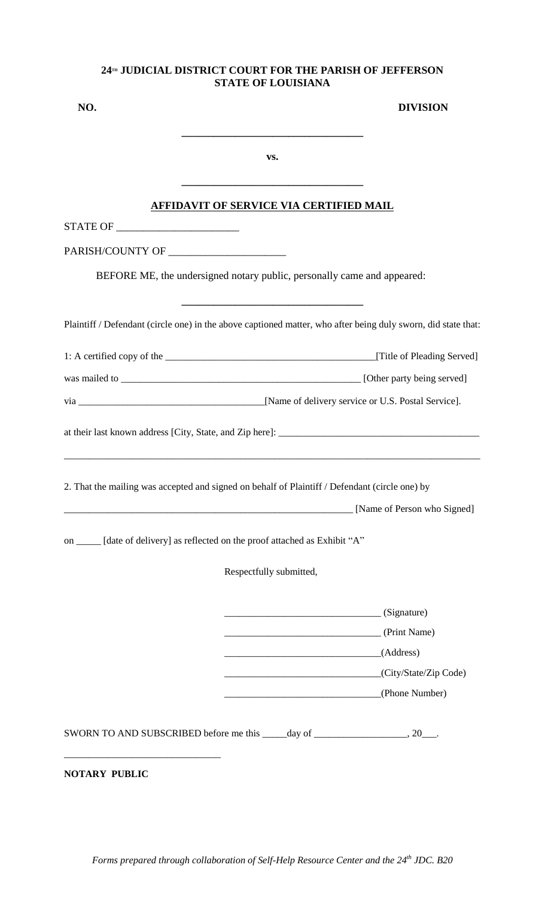## **24TH JUDICIAL DISTRICT COURT FOR THE PARISH OF JEFFERSON STATE OF LOUISIANA**

| NO.                                                                                                                                                                                                                                                                                             |                                                                                                                                             | <b>DIVISION</b>             |
|-------------------------------------------------------------------------------------------------------------------------------------------------------------------------------------------------------------------------------------------------------------------------------------------------|---------------------------------------------------------------------------------------------------------------------------------------------|-----------------------------|
|                                                                                                                                                                                                                                                                                                 | VS.                                                                                                                                         |                             |
|                                                                                                                                                                                                                                                                                                 | the control of the control of the control of the control of the control of the control of<br><b>AFFIDAVIT OF SERVICE VIA CERTIFIED MAIL</b> |                             |
| $\begin{tabular}{c} \bf STATE OF \end{tabular} \begin{tabular}{p{2.5cm}p{2.5cm}p{2.5cm}p{2.5cm}p{2.5cm}p{2.5cm}p{2.5cm}p{2.5cm}p{2.5cm}p{2.5cm}p{2.5cm}p{2.5cm}p{2.5cm}p{2.5cm}p{2.5cm}p{2.5cm}p{2.5cm}p{2.5cm}p{2.5cm}p{2.5cm}p{2.5cm}p{2.5cm}p{2.5cm}p{2.5cm}p{2.5cm}p{2.5cm}p{2.5cm}p{2.5cm$ |                                                                                                                                             |                             |
|                                                                                                                                                                                                                                                                                                 |                                                                                                                                             |                             |
|                                                                                                                                                                                                                                                                                                 | BEFORE ME, the undersigned notary public, personally came and appeared:                                                                     |                             |
|                                                                                                                                                                                                                                                                                                 | Plaintiff / Defendant (circle one) in the above captioned matter, who after being duly sworn, did state that:                               |                             |
|                                                                                                                                                                                                                                                                                                 |                                                                                                                                             |                             |
|                                                                                                                                                                                                                                                                                                 |                                                                                                                                             |                             |
|                                                                                                                                                                                                                                                                                                 |                                                                                                                                             |                             |
|                                                                                                                                                                                                                                                                                                 | 2. That the mailing was accepted and signed on behalf of Plaintiff / Defendant (circle one) by                                              |                             |
|                                                                                                                                                                                                                                                                                                 |                                                                                                                                             | [Name of Person who Signed] |
|                                                                                                                                                                                                                                                                                                 | on _____ [date of delivery] as reflected on the proof attached as Exhibit "A"                                                               |                             |
|                                                                                                                                                                                                                                                                                                 | Respectfully submitted,                                                                                                                     |                             |
|                                                                                                                                                                                                                                                                                                 |                                                                                                                                             |                             |
|                                                                                                                                                                                                                                                                                                 | (Print Name)                                                                                                                                |                             |
|                                                                                                                                                                                                                                                                                                 | (Address)                                                                                                                                   |                             |
|                                                                                                                                                                                                                                                                                                 |                                                                                                                                             | (City/State/Zip Code)       |
|                                                                                                                                                                                                                                                                                                 |                                                                                                                                             | (Phone Number)              |
|                                                                                                                                                                                                                                                                                                 |                                                                                                                                             |                             |
| <b>NOTARY PUBLIC</b>                                                                                                                                                                                                                                                                            |                                                                                                                                             |                             |